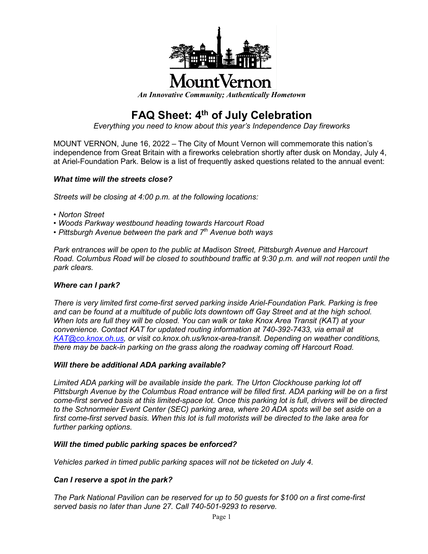

# lountVernoi

*An Innovative Community; Authentically Hometown*

# **FAQ Sheet: 4th of July Celebration**

*Everything you need to know about this year's Independence Day fireworks*

MOUNT VERNON, June 16, 2022 – The City of Mount Vernon will commemorate this nation's independence from Great Britain with a fireworks celebration shortly after dusk on Monday, July 4, at Ariel-Foundation Park. Below is a list of frequently asked questions related to the annual event:

# *What time will the streets close?*

*Streets will be closing at 4:00 p.m. at the following locations:*

- *Norton Street*
- *Woods Parkway westbound heading towards Harcourt Road*
- *Pittsburgh Avenue between the park and 7th Avenue both ways*

*Park entrances will be open to the public at Madison Street, Pittsburgh Avenue and Harcourt Road. Columbus Road will be closed to southbound traffic at 9:30 p.m. and will not reopen until the park clears.*

# *Where can I park?*

*There is very limited first come-first served parking inside Ariel-Foundation Park. Parking is free and can be found at a multitude of public lots downtown off Gay Street and at the high school. When lots are full they will be closed. You can walk or take Knox Area Transit (KAT) at your convenience. Contact KAT for updated routing information at 740-392-7433, via email at [KAT@co.knox.oh.us,](mailto:KAT@co.knox.oh.us) or visit co.knox.oh.us/knox-area-transit. Depending on weather conditions, there may be back-in parking on the grass along the roadway coming off Harcourt Road.*

# *Will there be additional ADA parking available?*

*Limited ADA parking will be available inside the park. The Urton Clockhouse parking lot off Pittsburgh Avenue by the Columbus Road entrance will be filled first. ADA parking will be on a first come-first served basis at this limited-space lot. Once this parking lot is full, drivers will be directed to the Schnormeier Event Center (SEC) parking area, where 20 ADA spots will be set aside on a first come-first served basis. When this lot is full motorists will be directed to the lake area for further parking options.*

# *Will the timed public parking spaces be enforced?*

*Vehicles parked in timed public parking spaces will not be ticketed on July 4.*

# *Can I reserve a spot in the park?*

*The Park National Pavilion can be reserved for up to 50 guests for \$100 on a first come-first served basis no later than June 27. Call 740-501-9293 to reserve.*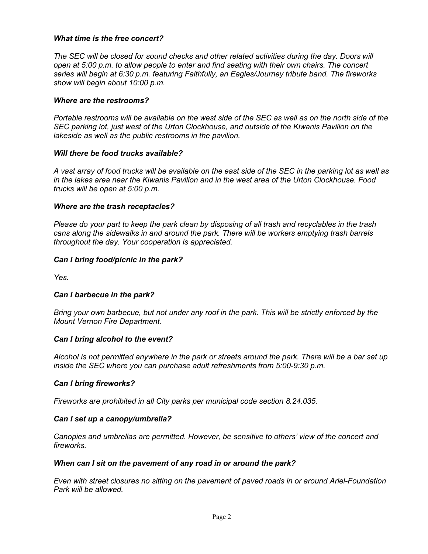#### *What time is the free concert?*

*The SEC will be closed for sound checks and other related activities during the day. Doors will open at 5:00 p.m. to allow people to enter and find seating with their own chairs. The concert series will begin at 6:30 p.m. featuring Faithfully, an Eagles/Journey tribute band. The fireworks show will begin about 10:00 p.m.*

#### *Where are the restrooms?*

*Portable restrooms will be available on the west side of the SEC as well as on the north side of the SEC parking lot, just west of the Urton Clockhouse, and outside of the Kiwanis Pavilion on the lakeside as well as the public restrooms in the pavilion.*

#### *Will there be food trucks available?*

*A vast array of food trucks will be available on the east side of the SEC in the parking lot as well as in the lakes area near the Kiwanis Pavilion and in the west area of the Urton Clockhouse. Food trucks will be open at 5:00 p.m.*

#### *Where are the trash receptacles?*

*Please do your part to keep the park clean by disposing of all trash and recyclables in the trash cans along the sidewalks in and around the park. There will be workers emptying trash barrels throughout the day. Your cooperation is appreciated.*

#### *Can I bring food/picnic in the park?*

*Yes.*

#### *Can I barbecue in the park?*

*Bring your own barbecue, but not under any roof in the park. This will be strictly enforced by the Mount Vernon Fire Department.*

#### *Can I bring alcohol to the event?*

*Alcohol is not permitted anywhere in the park or streets around the park. There will be a bar set up inside the SEC where you can purchase adult refreshments from 5:00-9:30 p.m.*

#### *Can I bring fireworks?*

*Fireworks are prohibited in all City parks per municipal code section 8.24.035.*

#### *Can I set up a canopy/umbrella?*

*Canopies and umbrellas are permitted. However, be sensitive to others' view of the concert and fireworks.*

#### *When can I sit on the pavement of any road in or around the park?*

*Even with street closures no sitting on the pavement of paved roads in or around Ariel-Foundation Park will be allowed.*